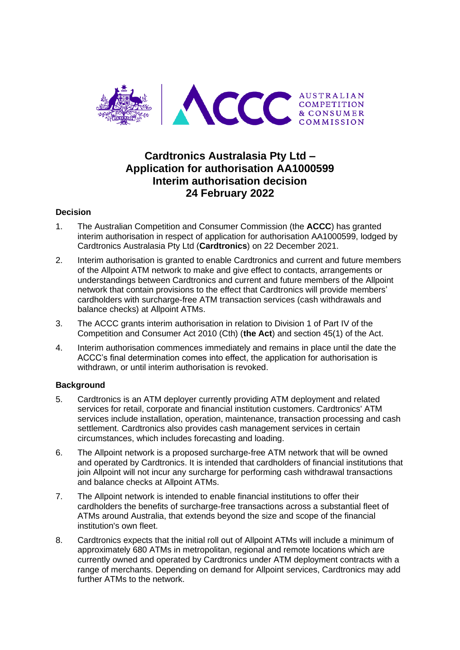

# **Cardtronics Australasia Pty Ltd – Application for authorisation AA1000599 Interim authorisation decision 24 February 2022**

# **Decision**

- 1. The Australian Competition and Consumer Commission (the **ACCC**) has granted interim authorisation in respect of application for authorisation AA1000599, lodged by Cardtronics Australasia Pty Ltd (**Cardtronics**) on 22 December 2021.
- 2. Interim authorisation is granted to enable Cardtronics and current and future members of the Allpoint ATM network to make and give effect to contacts, arrangements or understandings between Cardtronics and current and future members of the Allpoint network that contain provisions to the effect that Cardtronics will provide members' cardholders with surcharge-free ATM transaction services (cash withdrawals and balance checks) at Allpoint ATMs.
- 3. The ACCC grants interim authorisation in relation to Division 1 of Part IV of the Competition and Consumer Act 2010 (Cth) (**the Act**) and section 45(1) of the Act.
- 4. Interim authorisation commences immediately and remains in place until the date the ACCC's final determination comes into effect, the application for authorisation is withdrawn, or until interim authorisation is revoked.

## **Background**

- 5. Cardtronics is an ATM deployer currently providing ATM deployment and related services for retail, corporate and financial institution customers. Cardtronics' ATM services include installation, operation, maintenance, transaction processing and cash settlement. Cardtronics also provides cash management services in certain circumstances, which includes forecasting and loading.
- 6. The Allpoint network is a proposed surcharge-free ATM network that will be owned and operated by Cardtronics. It is intended that cardholders of financial institutions that join Allpoint will not incur any surcharge for performing cash withdrawal transactions and balance checks at Allpoint ATMs.
- 7. The Allpoint network is intended to enable financial institutions to offer their cardholders the benefits of surcharge-free transactions across a substantial fleet of ATMs around Australia, that extends beyond the size and scope of the financial institution's own fleet.
- 8. Cardtronics expects that the initial roll out of Allpoint ATMs will include a minimum of approximately 680 ATMs in metropolitan, regional and remote locations which are currently owned and operated by Cardtronics under ATM deployment contracts with a range of merchants. Depending on demand for Allpoint services, Cardtronics may add further ATMs to the network.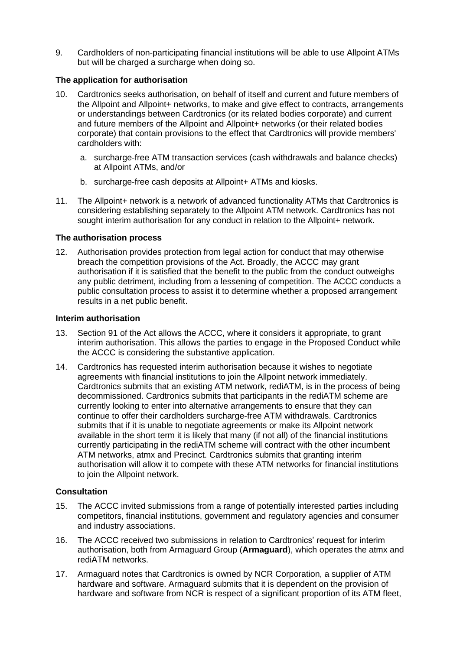9. Cardholders of non-participating financial institutions will be able to use Allpoint ATMs but will be charged a surcharge when doing so.

# **The application for authorisation**

- 10. Cardtronics seeks authorisation, on behalf of itself and current and future members of the Allpoint and Allpoint+ networks, to make and give effect to contracts, arrangements or understandings between Cardtronics (or its related bodies corporate) and current and future members of the Allpoint and Allpoint+ networks (or their related bodies corporate) that contain provisions to the effect that Cardtronics will provide members' cardholders with:
	- a. surcharge-free ATM transaction services (cash withdrawals and balance checks) at Allpoint ATMs, and/or
	- b. surcharge-free cash deposits at Allpoint+ ATMs and kiosks.
- 11. The Allpoint+ network is a network of advanced functionality ATMs that Cardtronics is considering establishing separately to the Allpoint ATM network. Cardtronics has not sought interim authorisation for any conduct in relation to the Allpoint+ network.

# **The authorisation process**

12. Authorisation provides protection from legal action for conduct that may otherwise breach the competition provisions of the Act. Broadly, the ACCC may grant authorisation if it is satisfied that the benefit to the public from the conduct outweighs any public detriment, including from a lessening of competition. The ACCC conducts a public consultation process to assist it to determine whether a proposed arrangement results in a net public benefit.

## **Interim authorisation**

- 13. Section 91 of the Act allows the ACCC, where it considers it appropriate, to grant interim authorisation. This allows the parties to engage in the Proposed Conduct while the ACCC is considering the substantive application.
- 14. Cardtronics has requested interim authorisation because it wishes to negotiate agreements with financial institutions to join the Allpoint network immediately. Cardtronics submits that an existing ATM network, rediATM, is in the process of being decommissioned. Cardtronics submits that participants in the rediATM scheme are currently looking to enter into alternative arrangements to ensure that they can continue to offer their cardholders surcharge-free ATM withdrawals. Cardtronics submits that if it is unable to negotiate agreements or make its Allpoint network available in the short term it is likely that many (if not all) of the financial institutions currently participating in the rediATM scheme will contract with the other incumbent ATM networks, atmx and Precinct. Cardtronics submits that granting interim authorisation will allow it to compete with these ATM networks for financial institutions to join the Allpoint network.

## **Consultation**

- 15. The ACCC invited submissions from a range of potentially interested parties including competitors, financial institutions, government and regulatory agencies and consumer and industry associations.
- 16. The ACCC received two submissions in relation to Cardtronics' request for interim authorisation, both from Armaguard Group (**Armaguard**), which operates the atmx and rediATM networks.
- 17. Armaguard notes that Cardtronics is owned by NCR Corporation, a supplier of ATM hardware and software. Armaguard submits that it is dependent on the provision of hardware and software from NCR is respect of a significant proportion of its ATM fleet,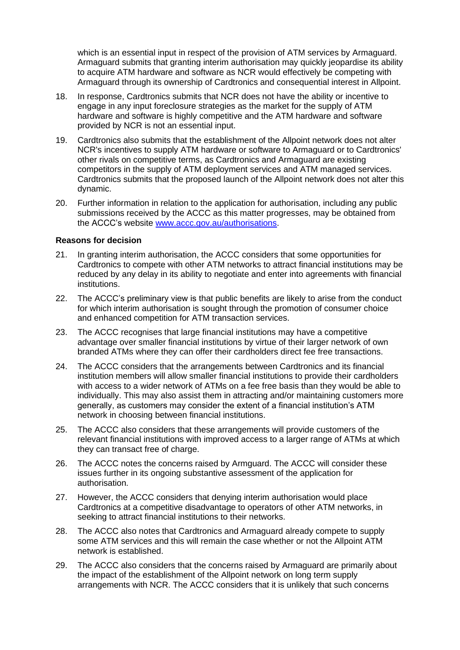which is an essential input in respect of the provision of ATM services by Armaguard. Armaguard submits that granting interim authorisation may quickly jeopardise its ability to acquire ATM hardware and software as NCR would effectively be competing with Armaguard through its ownership of Cardtronics and consequential interest in Allpoint.

- 18. In response, Cardtronics submits that NCR does not have the ability or incentive to engage in any input foreclosure strategies as the market for the supply of ATM hardware and software is highly competitive and the ATM hardware and software provided by NCR is not an essential input.
- 19. Cardtronics also submits that the establishment of the Allpoint network does not alter NCR's incentives to supply ATM hardware or software to Armaguard or to Cardtronics' other rivals on competitive terms, as Cardtronics and Armaguard are existing competitors in the supply of ATM deployment services and ATM managed services. Cardtronics submits that the proposed launch of the Allpoint network does not alter this dynamic.
- 20. Further information in relation to the application for authorisation, including any public submissions received by the ACCC as this matter progresses, may be obtained from the ACCC's website [www.accc.gov.au/authorisations.](http://www.accc.gov.au/authorisations)

#### **Reasons for decision**

- 21. In granting interim authorisation, the ACCC considers that some opportunities for Cardtronics to compete with other ATM networks to attract financial institutions may be reduced by any delay in its ability to negotiate and enter into agreements with financial institutions.
- 22. The ACCC's preliminary view is that public benefits are likely to arise from the conduct for which interim authorisation is sought through the promotion of consumer choice and enhanced competition for ATM transaction services.
- 23. The ACCC recognises that large financial institutions may have a competitive advantage over smaller financial institutions by virtue of their larger network of own branded ATMs where they can offer their cardholders direct fee free transactions.
- 24. The ACCC considers that the arrangements between Cardtronics and its financial institution members will allow smaller financial institutions to provide their cardholders with access to a wider network of ATMs on a fee free basis than they would be able to individually. This may also assist them in attracting and/or maintaining customers more generally, as customers may consider the extent of a financial institution's ATM network in choosing between financial institutions.
- 25. The ACCC also considers that these arrangements will provide customers of the relevant financial institutions with improved access to a larger range of ATMs at which they can transact free of charge.
- 26. The ACCC notes the concerns raised by Armguard. The ACCC will consider these issues further in its ongoing substantive assessment of the application for authorisation.
- 27. However, the ACCC considers that denying interim authorisation would place Cardtronics at a competitive disadvantage to operators of other ATM networks, in seeking to attract financial institutions to their networks.
- 28. The ACCC also notes that Cardtronics and Armaguard already compete to supply some ATM services and this will remain the case whether or not the Allpoint ATM network is established.
- 29. The ACCC also considers that the concerns raised by Armaguard are primarily about the impact of the establishment of the Allpoint network on long term supply arrangements with NCR. The ACCC considers that it is unlikely that such concerns